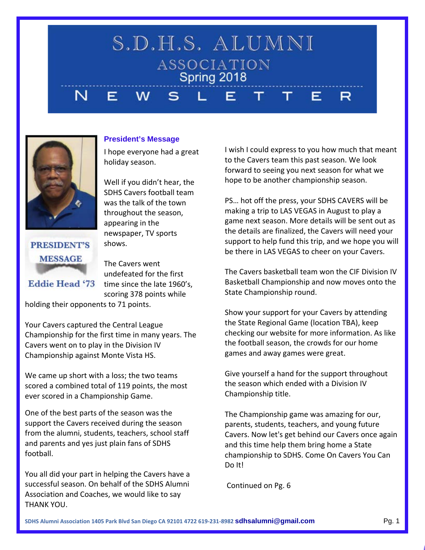#### S.D.H.S. ALUMNI ASSOCIATION Spring 2018 N E W. Τ. Τ. E R



# **President's Message**

I hope everyone had a great holiday season.

Well if you didn't hear, the SDHS Cavers football team was the talk of the town throughout the season, appearing in the newspaper, TV sports shows.

**PRESIDENT'S MESSAGE** 

**Eddie Head '73** 

The Cavers went undefeated for the first time since the late 1960's, scoring 378 points while

holding their opponents to 71 points.

Your Cavers captured the Central League Championship for the first time in many years. The Cavers went on to play in the Division IV Championship against Monte Vista HS.

We came up short with a loss; the two teams scored a combined total of 119 points, the most ever scored in a Championship Game.

One of the best parts of the season was the support the Cavers received during the season from the alumni, students, teachers, school staff and parents and yes just plain fans of SDHS football.

You all did your part in helping the Cavers have a successful season. On behalf of the SDHS Alumni Association and Coaches, we would like to say THANK YOU.

I wish I could express to you how much that meant to the Cavers team this past season. We look forward to seeing you next season for what we hope to be another championship season.

PS… hot off the press, your SDHS CAVERS will be making a trip to LAS VEGAS in August to play a game next season. More details will be sent out as the details are finalized, the Cavers will need your support to help fund this trip, and we hope you will be there in LAS VEGAS to cheer on your Cavers.

The Cavers basketball team won the CIF Division IV Basketball Championship and now moves onto the State Championship round.

Show your support for your Cavers by attending the State Regional Game (location TBA), keep checking our website for more information. As like the football season, the crowds for our home games and away games were great.

Give yourself a hand for the support throughout the season which ended with a Division IV Championship title.

The Championship game was amazing for our, parents, students, teachers, and young future Cavers. Now let's get behind our Cavers once again and this time help them bring home a State championship to SDHS. Come On Cavers You Can Do It!

Continued on Pg. [6](#page-5-0)

**SDHS Alumni Association 1405 Park Blvd San Diego CA 92101 4722 619-231-8982 sdhsalumni@gmail.com** Pg. 1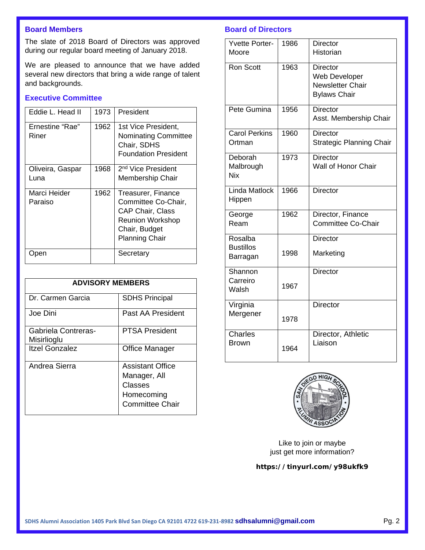# **Board Members**

The slate of 2018 Board of Directors was approved during our regular board meeting of January 2018.

We are pleased to announce that we have added several new directors that bring a wide range of talent and backgrounds.

# **Executive Committee**

| Eddie L. Head II         | 1973 | President                                                                                                                          |
|--------------------------|------|------------------------------------------------------------------------------------------------------------------------------------|
| Ernestine "Rae"<br>Riner | 1962 | 1st Vice President,<br>Nominating Committee<br>Chair, SDHS<br><b>Foundation President</b>                                          |
| Oliveira, Gaspar<br>Luna | 1968 | 2 <sup>nd</sup> Vice President<br>Membership Chair                                                                                 |
| Marci Heider<br>Paraiso  | 1962 | Treasurer, Finance<br>Committee Co-Chair,<br><b>CAP Chair, Class</b><br>Reunion Workshop<br>Chair, Budget<br><b>Planning Chair</b> |
|                          |      | Secretary                                                                                                                          |

| <b>ADVISORY MEMBERS</b>            |                                                                                            |  |
|------------------------------------|--------------------------------------------------------------------------------------------|--|
| Dr. Carmen Garcia                  | <b>SDHS Principal</b>                                                                      |  |
| Joe Dini                           | Past AA President                                                                          |  |
| Gabriela Contreras-<br>Misirlioglu | PTSA President                                                                             |  |
| <b>Itzel Gonzalez</b>              | Office Manager                                                                             |  |
| Andrea Sierra                      | <b>Assistant Office</b><br>Manager, All<br>Classes<br>Homecoming<br><b>Committee Chair</b> |  |

### **Board of Directors**

| <b>Yvette Porter-</b>   | 1986 | <b>Director</b>                                 |
|-------------------------|------|-------------------------------------------------|
| Moore                   |      | Historian                                       |
| <b>Ron Scott</b>        | 1963 | Director                                        |
|                         |      | <b>Web Developer</b><br><b>Newsletter Chair</b> |
|                         |      | <b>Bylaws Chair</b>                             |
|                         |      |                                                 |
| Pete Gumina             | 1956 | <b>Director</b><br>Asst. Membership Chair       |
|                         |      |                                                 |
| <b>Carol Perkins</b>    | 1960 | Director                                        |
| Ortman                  |      | <b>Strategic Planning Chair</b>                 |
| Deborah                 | 1973 | <b>Director</b>                                 |
| Malbrough               |      | Wall of Honor Chair                             |
| Nix                     |      |                                                 |
| <b>Linda Matlock</b>    | 1966 | <b>Director</b>                                 |
| Hippen                  |      |                                                 |
| George                  | 1962 | Director, Finance                               |
| Ream                    |      | <b>Committee Co-Chair</b>                       |
| Rosalba                 |      | Director                                        |
| <b>Bustillos</b>        | 1998 | Marketing                                       |
| Barragan                |      |                                                 |
| Shannon                 |      | <b>Director</b>                                 |
| Carreiro                | 1967 |                                                 |
| Walsh                   |      |                                                 |
| Virginia                |      | <b>Director</b>                                 |
| Mergener                | 1978 |                                                 |
|                         |      |                                                 |
| Charles<br><b>Brown</b> |      | Director, Athletic<br>Liaison                   |
|                         | 1964 |                                                 |



Like to join or maybe just get more information?

### **https://tinyurl.com/y98ukfk9**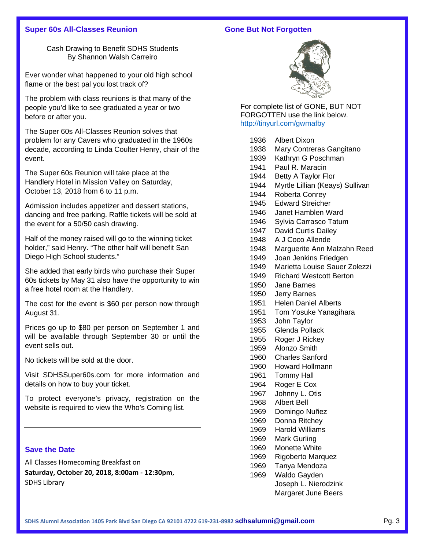### **Super 60s All-Classes Reunion**

#### **Gone But Not Forgotten**

Cash Drawing to Benefit SDHS Students By Shannon Walsh Carreiro

Ever wonder what happened to your old high school flame or the best pal you lost track of?

The problem with class reunions is that many of the people you'd like to see graduated a year or two before or after you.

The Super 60s All-Classes Reunion solves that problem for any Cavers who graduated in the 1960s decade, according to Linda Coulter Henry, chair of the event.

The Super 60s Reunion will take place at the Handlery Hotel in Mission Valley on Saturday, October 13, 2018 from 6 to 11 p.m.

Admission includes appetizer and dessert stations, dancing and free parking. Raffle tickets will be sold at the event for a 50/50 cash drawing.

Half of the money raised will go to the winning ticket holder," said Henry. "The other half will benefit San Diego High School students."

She added that early birds who purchase their Super 60s tickets by May 31 also have the opportunity to win a free hotel room at the Handlery.

The cost for the event is \$60 per person now through August 31.

Prices go up to \$80 per person on September 1 and will be available through September 30 or until the event sells out.

No tickets will be sold at the door.

Visit SDHSSuper60s.com for more information and details on how to buy your ticket.

To protect everyone's privacy, registration on the website is required to view the Who's Coming list.

### **Save the Date**

All Classes Homecoming Breakfast on **Saturday, October 20, 2018, 8:00am - 12:30pm**, SDHS Library



For complete list of GONE, BUT NOT FORGOTTEN use the link below. <http://tinyurl.com/gwmafby>

| 1936 | <b>Albert Dixon</b>             |
|------|---------------------------------|
| 1938 | Mary Contreras Gangitano        |
| 1939 | Kathryn G Poschman              |
| 1941 | Paul R. Maracin                 |
| 1944 | Betty A Taylor Flor             |
| 1944 | Myrtle Lillian (Keays) Sullivan |
| 1944 | Roberta Conrey                  |
| 1945 | <b>Edward Streicher</b>         |
| 1946 | Janet Hamblen Ward              |
| 1946 | Sylvia Carrasco Tatum           |
| 1947 | David Curtis Dailey             |
| 1948 | A J Coco Allende                |
| 1948 | Marguerite Ann Malzahn Reed     |
| 1949 | Joan Jenkins Friedgen           |
| 1949 | Marietta Louise Sauer Zolezzi   |
| 1949 | <b>Richard Westcott Berton</b>  |
| 1950 | Jane Barnes                     |
| 1950 | <b>Jerry Barnes</b>             |
| 1951 | <b>Helen Daniel Alberts</b>     |
| 1951 | Tom Yosuke Yanagihara           |
| 1953 | John Taylor                     |
| 1955 | <b>Glenda Pollack</b>           |
| 1955 | Roger J Rickey                  |
| 1959 | Alonzo Smith                    |
| 1960 | <b>Charles Sanford</b>          |
| 1960 | <b>Howard Hollmann</b>          |
| 1961 | <b>Tommy Hall</b>               |
| 1964 | Roger E Cox                     |
| 1967 | Johnny L. Otis                  |
| 1968 | <b>Albert Bell</b>              |
| 1969 | Domingo Nuñez                   |
| 1969 | Donna Ritchey                   |
| 1969 | <b>Harold Williams</b>          |
| 1969 | Mark Gurling                    |
| 1969 | Monette White                   |
| 1969 | Rigoberto Marquez               |
| 1969 | Tanya Mendoza                   |
| 1969 | Waldo Gayden                    |

Joseph L. Nierodzink Margaret June Beers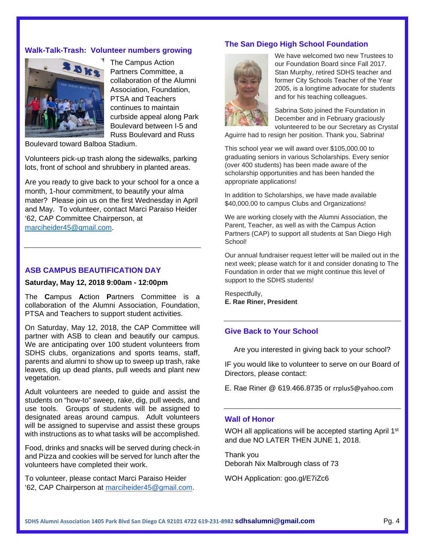### **Walk-Talk-Trash: Volunteer numbers growing**



The Campus Action Partners Committee, a collaboration of the Alumni Association, Foundation, PTSA and Teachers continues to maintain curbside appeal along Park Boulevard between I-5 and Russ Boulevard and Russ

Boulevard toward Balboa Stadium.

Volunteers pick-up trash along the sidewalks, parking lots, front of school and shrubbery in planted areas.

Are you ready to give back to your school for a once a month, 1-hour commitment, to beautify your alma mater? Please join us on the first Wednesday in April and May. To volunteer, contact Marci Paraiso Heider '62, CAP Committee Chairperson, at [marciheider45@gmail.com.](mailto:marciheider45@gmail.com)

#### **ASB CAMPUS BEAUTIFICATION DAY**

**Saturday, May 12, 2018 9:00am - 12:00pm**

The **C**ampus **A**ction **P**artners Committee is a collaboration of the Alumni Association, Foundation, PTSA and Teachers to support student activities.

On Saturday, May 12, 2018, the CAP Committee will partner with ASB to clean and beautify our campus. We are anticipating over 100 student volunteers from SDHS clubs, organizations and sports teams, staff, parents and alumni to show up to sweep up trash, rake leaves, dig up dead plants, pull weeds and plant new vegetation.

Adult volunteers are needed to guide and assist the students on "how-to" sweep, rake, dig, pull weeds, and use tools. Groups of students will be assigned to designated areas around campus. Adult volunteers will be assigned to supervise and assist these groups with instructions as to what tasks will be accomplished.

Food, drinks and snacks will be served during check-in and Pizza and cookies will be served for lunch after the volunteers have completed their work.

To volunteer, please contact Marci Paraiso Heider '62, CAP Chairperson at [marciheider45@gmail.com.](mailto:marciheider45@gmail.com)

### **The San Diego High School Foundation**



We have welcomed two new Trustees to our Foundation Board since Fall 2017. Stan Murphy, retired SDHS teacher and former City Schools Teacher of the Year 2005, is a longtime advocate for students and for his teaching colleagues.

Sabrina Soto joined the Foundation in December and in February graciously volunteered to be our Secretary as Crystal

Aguirre had to resign her position. Thank you, Sabrina!

This school year we will award over \$105,000.00 to graduating seniors in various Scholarships. Every senior (over 400 students) has been made aware of the scholarship opportunities and has been handed the appropriate applications!

In addition to Scholarships, we have made available \$40,000.00 to campus Clubs and Organizations!

We are working closely with the Alumni Association, the Parent, Teacher, as well as with the Campus Action Partners (CAP) to support all students at San Diego High School!

Our annual fundraiser request letter will be mailed out in the next week; please watch for it and consider donating to The Foundation in order that we might continue this level of support to the SDHS students!

Respectfully, **E. Rae Riner, President**

# **Give Back to Your School**

Are you interested in giving back to your school?

IF you would like to volunteer to serve on our Board of Directors, please contact:

E. Rae Riner @ 619.466.8735 or [rrplus5@yahoo.com](mailto:rrplus5@yahoo.com)

#### **Wall of Honor**

WOH all applications will be accepted starting April 1<sup>st</sup> and due NO LATER THEN JUNE 1, 2018.

Thank you Deborah Nix Malbrough class of 73

WOH Application: goo.gl/E7iZc6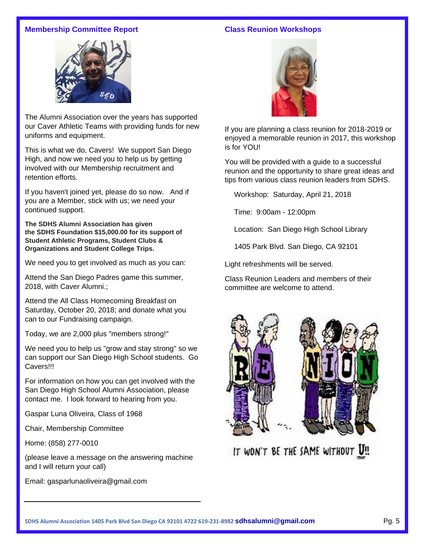# **Membership Committee Report**

# **Class Reunion Workshops**



The Alumni Association over the years has supported our Caver Athletic Teams with providing funds for new uniforms and equipment.

This is what we do, Cavers! We support San Diego High, and now we need you to help us by getting involved with our Membership recruitment and retention efforts.

If you haven't joined yet, please do so now. And if you are a Member, stick with us; we need your continued support.

**The SDHS Alumni Association has given the SDHS Foundation \$15,000.00 for its support of Student Athletic Programs, Student Clubs & Organizations and Student College Trips.**

We need you to get involved as much as you can:

Attend the San Diego Padres game this summer, 2018, with Caver Alumni.;

Attend the All Class Homecoming Breakfast on Saturday, October 20, 2018; and donate what you can to our Fundraising campaign.

Today, we are 2,000 plus "members strong!"

We need you to help us "grow and stay strong" so we can support our San Diego High School students. Go Cavers!!!

For information on how you can get involved with the San Diego High School Alumni Association, please contact me. I look forward to hearing from you.

Gaspar Luna Oliveira, Class of 1968

Chair, Membership Committee

Home: (858) 277-0010

(please leave a message on the answering machine and I will return your call)

Email: gasparlunaoliveira@gmail.com



If you are planning a class reunion for 2018-2019 or enjoyed a memorable reunion in 2017, this workshop is for YOU!

You will be provided with a guide to a successful reunion and the opportunity to share great ideas and tips from various class reunion leaders from SDHS.

Workshop: Saturday, April 21, 2018

Time: 9:00am - 12:00pm

Location: San Diego High School Library

1405 Park Blvd. San Diego, CA 92101

Light refreshments will be served.

Class Reunion Leaders and members of their committee are welcome to attend.



IT WON'T BE THE SAME WITHOUT U!!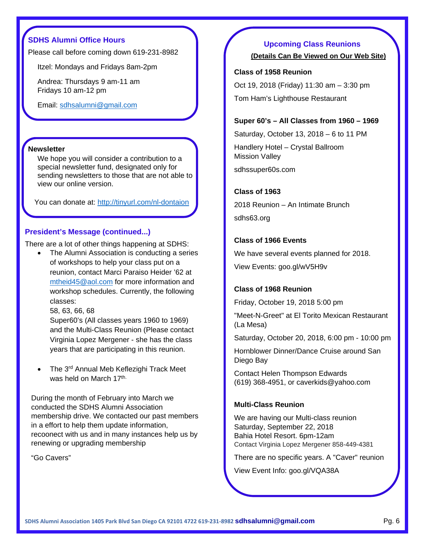# **SDHS Alumni Office Hours**

Please call before coming down 619-231-8982

Itzel: Mondays and Fridays 8am-2pm

Andrea: Thursdays 9 am-11 am Fridays 10 am-12 pm

Email: [sdhsalumni@gmail.com](mailto:sdhsalumni@gmail.com)

#### **Newsletter**

We hope you will consider a contribution to a special newsletter fund, designated only for sending newsletters to those that are not able to view our online version.

You can donate at: <http://tinyurl.com/nl-dontaion>

### <span id="page-5-0"></span>**President's Message (continued...)**

There are a lot of other things happening at SDHS:

The Alumni Association is conducting a series of workshops to help your class put on a reunion, contact Marci Paraiso Heider '62 at [mtheid45@aol.com](mailto:mtheid45@aol.com) for more information and workshop schedules. Currently, the following classes:

58, 63, 66, 68

Super60's (All classes years 1960 to 1969) and the Multi-Class Reunion (Please contact Virginia Lopez Mergener - she has the class years that are participating in this reunion.

The 3<sup>rd</sup> Annual Meb Keflezighi Track Meet was held on March 17th.

During the month of February into March we conducted the SDHS Alumni Association membership drive. We contacted our past members in a effort to help them update information, recoonect with us and in many instances help us by renewing or upgrading membership

"Go Cavers"

### **Upcoming Class Reunions**

**[\(Details Can Be Viewed on Our Web Site\)](http://sandiegohighschoolalumni.net/wp/2016-reunions/)**

#### **Class of 1958 Reunion**

Oct 19, 2018 (Friday) 11:30 am – 3:30 pm Tom Ham's Lighthouse Restaurant

#### **Super 60's – All Classes from 1960 – 1969**

Saturday, October 13, 2018 – 6 to 11 PM

Handlery Hotel – Crystal Ballroom Mission Valley

sdhssuper60s.com

### **Class of 1963**

2018 Reunion – An Intimate Brunch sdhs63.org

### **Class of 1966 Events**

We have several events planned for 2018. View Events: goo.gl/wV5H9v

#### **Class of 1968 Reunion**

Friday, October 19, 2018 5:00 pm

"Meet-N-Greet" at El Torito Mexican Restaurant (La Mesa)

Saturday, October 20, 2018, 6:00 pm - 10:00 pm

Hornblower Dinner/Dance Cruise around San Diego Bay

Contact Helen Thompson Edwards (619) 368-4951, or [caverkids@yahoo.com](mailto:caverkids@yahoo.com)

### **Multi-Class Reunion**

We are having our Multi-class reunion Saturday, September 22, 2018 Bahia Hotel Resort. 6pm-12am Contact Virginia Lopez Mergener 858-449-4381

There are no specific years. A "Caver" reunion

View Event Info: goo.gl/VQA38A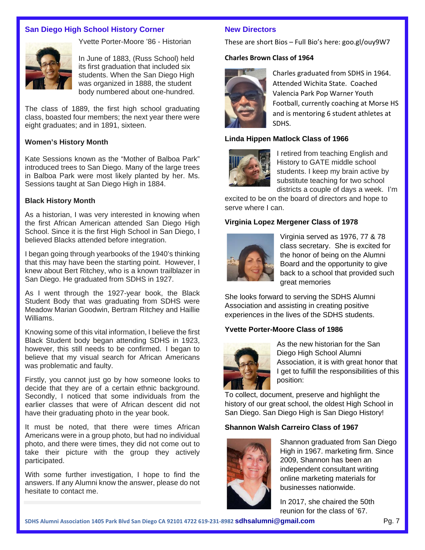# **San Diego High School History Corner**



Yvette Porter-Moore '86 - Historian

In June of 1883, (Russ School) held its first graduation that included six students. When the San Diego High was organized in 1888, the student body numbered about one-hundred.

The class of 1889, the first high school graduating class, boasted four members; the next year there were eight graduates; and in 1891, sixteen.

#### **Women's History Month**

Kate Sessions known as the "Mother of Balboa Park" introduced trees to San Diego. Many of the large trees in Balboa Park were most likely planted by her. Ms. Sessions taught at San Diego High in 1884.

#### **Black History Month**

As a historian, I was very interested in knowing when the first African American attended San Diego High School. Since it is the first High School in San Diego, I believed Blacks attended before integration.

I began going through yearbooks of the 1940's thinking that this may have been the starting point. However, I knew about Bert Ritchey, who is a known trailblazer in San Diego. He graduated from SDHS in 1927.

As I went through the 1927-year book, the Black Student Body that was graduating from SDHS were Meadow Marian Goodwin, Bertram Ritchey and Haillie Williams.

Knowing some of this vital information, I believe the first Black Student body began attending SDHS in 1923, however, this still needs to be confirmed. I began to believe that my visual search for African Americans was problematic and faulty.

Firstly, you cannot just go by how someone looks to decide that they are of a certain ethnic background. Secondly, I noticed that some individuals from the earlier classes that were of African descent did not have their graduating photo in the year book.

It must be noted, that there were times African Americans were in a group photo, but had no individual photo, and there were times, they did not come out to take their picture with the group they actively participated.

With some further investigation, I hope to find the answers. If any Alumni know the answer, please do not hesitate to contact me.

#### **New Directors**

These are short Bios – Full Bio's here: goo.gl/ouy9W7

#### **Charles Brown Class of 1964**



Charles graduated from SDHS in 1964. Attended Wichita State. Coached Valencia Park Pop Warner Youth Football, currently coaching at Morse HS and is mentoring 6 student athletes at SDHS.

### **Linda Hippen Matlock Class of 1966**



I retired from teaching English and History to GATE middle school students. I keep my brain active by substitute teaching for two school districts a couple of days a week. I'm

excited to be on the board of directors and hope to serve where I can.

### **Virginia Lopez Mergener Class of 1978**



Virginia served as 1976, 77 & 78 class secretary. She is excited for the honor of being on the Alumni Board and the opportunity to give back to a school that provided such great memories

She looks forward to serving the SDHS Alumni Association and assisting in creating positive experiences in the lives of the SDHS students.

### **Yvette Porter-Moore Class of 1986**



As the new historian for the San Diego High School Alumni Association, it is with great honor that I get to fulfill the responsibilities of this position:

To collect, document, preserve and highlight the history of our great school, the oldest High School in San Diego. San Diego High is San Diego History!

### **Shannon Walsh Carreiro Class of 1967**



Shannon graduated from San Diego High in 1967. marketing firm. Since 2009, Shannon has been an independent consultant writing online marketing materials for businesses nationwide.

In 2017, she chaired the 50th reunion for the class of '67.

**SDHS Alumni Association 1405 Park Blvd San Diego CA 92101 4722 619-231-8982 sdhsalumni@gmail.com** Pg. 7